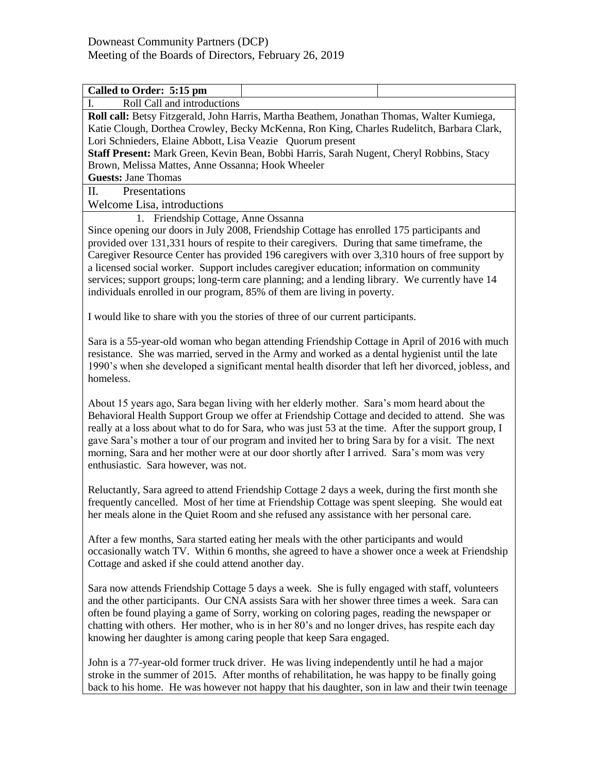| Called to Order: 5:15 pm                                                                            |
|-----------------------------------------------------------------------------------------------------|
| Roll Call and introductions<br>I.                                                                   |
| Roll call: Betsy Fitzgerald, John Harris, Martha Beathem, Jonathan Thomas, Walter Kumiega,          |
| Katie Clough, Dorthea Crowley, Becky McKenna, Ron King, Charles Rudelitch, Barbara Clark,           |
| Lori Schnieders, Elaine Abbott, Lisa Veazie Quorum present                                          |
| Staff Present: Mark Green, Kevin Bean, Bobbi Harris, Sarah Nugent, Cheryl Robbins, Stacy            |
| Brown, Melissa Mattes, Anne Ossanna; Hook Wheeler                                                   |
| <b>Guests: Jane Thomas</b>                                                                          |
| II.<br>Presentations                                                                                |
| Welcome Lisa, introductions                                                                         |
| 1. Friendship Cottage, Anne Ossanna                                                                 |
| Since opening our doors in July 2008, Friendship Cottage has enrolled 175 participants and          |
| provided over 131,331 hours of respite to their caregivers. During that same timeframe, the         |
| Caregiver Resource Center has provided 196 caregivers with over 3,310 hours of free support by      |
| a licensed social worker. Support includes caregiver education; information on community            |
| services; support groups; long-term care planning; and a lending library. We currently have 14      |
| individuals enrolled in our program, 85% of them are living in poverty.                             |
|                                                                                                     |
| I would like to share with you the stories of three of our current participants.                    |
|                                                                                                     |
| Sara is a 55-year-old woman who began attending Friendship Cottage in April of 2016 with much       |
| resistance. She was married, served in the Army and worked as a dental hygienist until the late     |
| 1990's when she developed a significant mental health disorder that left her divorced, jobless, and |
| homeless.                                                                                           |
|                                                                                                     |
| About 15 years ago, Sara began living with her elderly mother. Sara's mom heard about the           |
| Behavioral Health Support Group we offer at Friendship Cottage and decided to attend. She was       |
| really at a loss about what to do for Sara, who was just 53 at the time. After the support group, I |
| gave Sara's mother a tour of our program and invited her to bring Sara by for a visit. The next     |
| morning, Sara and her mother were at our door shortly after I arrived. Sara's mom was very          |
| enthusiastic. Sara however, was not.                                                                |
|                                                                                                     |
| Reluctantly, Sara agreed to attend Friendship Cottage 2 days a week, during the first month she     |
| frequently cancelled. Most of her time at Friendship Cottage was spent sleeping. She would eat      |
| her meals alone in the Quiet Room and she refused any assistance with her personal care.            |
|                                                                                                     |
| After a few months, Sara started eating her meals with the other participants and would             |
| occasionally watch TV. Within 6 months, she agreed to have a shower once a week at Friendship       |
| Cottage and asked if she could attend another day.                                                  |
|                                                                                                     |
| Sara now attends Friendship Cottage 5 days a week. She is fully engaged with staff, volunteers      |
| and the other participants. Our CNA assists Sara with her shower three times a week. Sara can       |
| often be found playing a game of Sorry, working on coloring pages, reading the newspaper or         |
| chatting with others. Her mother, who is in her 80's and no longer drives, has respite each day     |
| knowing her daughter is among caring people that keep Sara engaged.                                 |
|                                                                                                     |
| John is a 77-year-old former truck driver. He was living independently until he had a major         |
| stroke in the summer of 2015. After months of rehabilitation, he was happy to be finally going      |
| back to his home. He was however not happy that his daughter, son in law and their twin teenage     |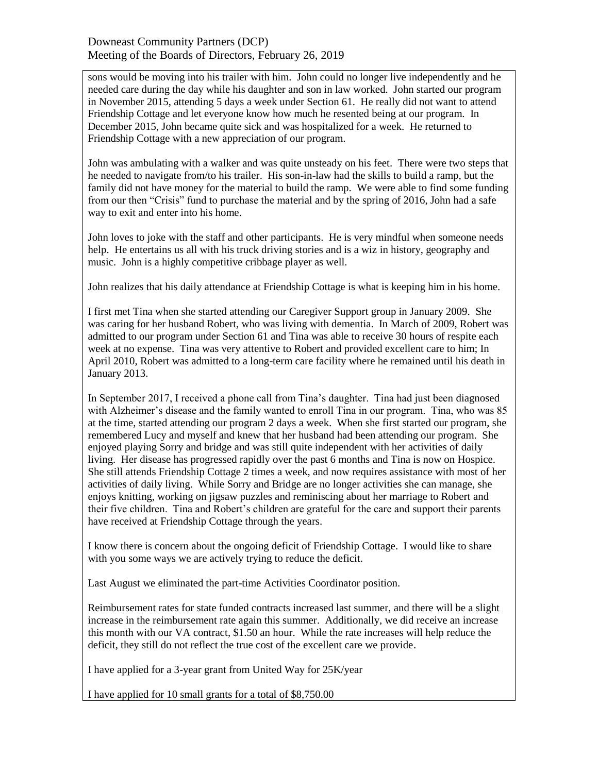## Downeast Community Partners (DCP) Meeting of the Boards of Directors, February 26, 2019

sons would be moving into his trailer with him. John could no longer live independently and he needed care during the day while his daughter and son in law worked. John started our program in November 2015, attending 5 days a week under Section 61. He really did not want to attend Friendship Cottage and let everyone know how much he resented being at our program. In December 2015, John became quite sick and was hospitalized for a week. He returned to Friendship Cottage with a new appreciation of our program.

John was ambulating with a walker and was quite unsteady on his feet. There were two steps that he needed to navigate from/to his trailer. His son-in-law had the skills to build a ramp, but the family did not have money for the material to build the ramp. We were able to find some funding from our then "Crisis" fund to purchase the material and by the spring of 2016, John had a safe way to exit and enter into his home.

John loves to joke with the staff and other participants. He is very mindful when someone needs help. He entertains us all with his truck driving stories and is a wiz in history, geography and music. John is a highly competitive cribbage player as well.

John realizes that his daily attendance at Friendship Cottage is what is keeping him in his home.

I first met Tina when she started attending our Caregiver Support group in January 2009. She was caring for her husband Robert, who was living with dementia. In March of 2009, Robert was admitted to our program under Section 61 and Tina was able to receive 30 hours of respite each week at no expense. Tina was very attentive to Robert and provided excellent care to him; In April 2010, Robert was admitted to a long-term care facility where he remained until his death in January 2013.

In September 2017, I received a phone call from Tina's daughter. Tina had just been diagnosed with Alzheimer's disease and the family wanted to enroll Tina in our program. Tina, who was 85 at the time, started attending our program 2 days a week. When she first started our program, she remembered Lucy and myself and knew that her husband had been attending our program. She enjoyed playing Sorry and bridge and was still quite independent with her activities of daily living. Her disease has progressed rapidly over the past 6 months and Tina is now on Hospice. She still attends Friendship Cottage 2 times a week, and now requires assistance with most of her activities of daily living. While Sorry and Bridge are no longer activities she can manage, she enjoys knitting, working on jigsaw puzzles and reminiscing about her marriage to Robert and their five children. Tina and Robert's children are grateful for the care and support their parents have received at Friendship Cottage through the years.

I know there is concern about the ongoing deficit of Friendship Cottage. I would like to share with you some ways we are actively trying to reduce the deficit.

Last August we eliminated the part-time Activities Coordinator position.

Reimbursement rates for state funded contracts increased last summer, and there will be a slight increase in the reimbursement rate again this summer. Additionally, we did receive an increase this month with our VA contract, \$1.50 an hour. While the rate increases will help reduce the deficit, they still do not reflect the true cost of the excellent care we provide.

I have applied for a 3-year grant from United Way for 25K/year

I have applied for 10 small grants for a total of \$8,750.00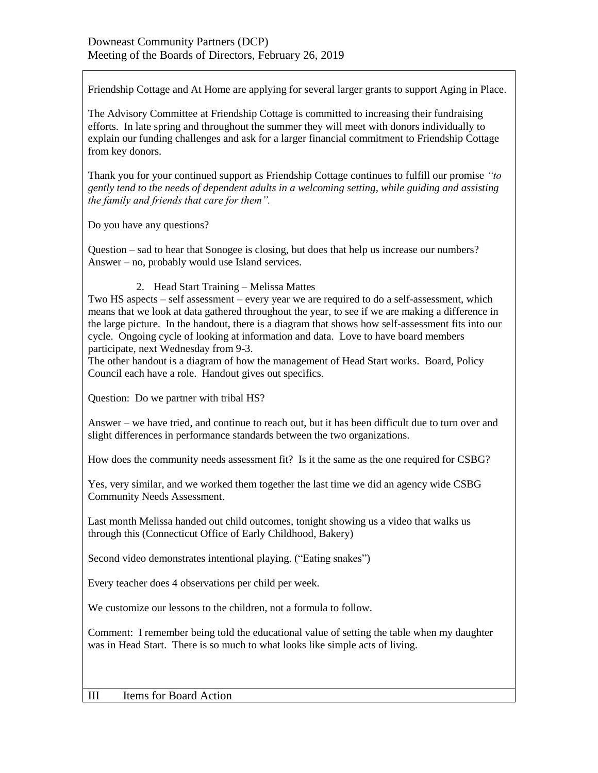Friendship Cottage and At Home are applying for several larger grants to support Aging in Place.

The Advisory Committee at Friendship Cottage is committed to increasing their fundraising efforts. In late spring and throughout the summer they will meet with donors individually to explain our funding challenges and ask for a larger financial commitment to Friendship Cottage from key donors.

Thank you for your continued support as Friendship Cottage continues to fulfill our promise *"to gently tend to the needs of dependent adults in a welcoming setting, while guiding and assisting the family and friends that care for them".* 

Do you have any questions?

Question – sad to hear that Sonogee is closing, but does that help us increase our numbers? Answer – no, probably would use Island services.

## 2. Head Start Training – Melissa Mattes

Two HS aspects – self assessment – every year we are required to do a self-assessment, which means that we look at data gathered throughout the year, to see if we are making a difference in the large picture. In the handout, there is a diagram that shows how self-assessment fits into our cycle. Ongoing cycle of looking at information and data. Love to have board members participate, next Wednesday from 9-3.

The other handout is a diagram of how the management of Head Start works. Board, Policy Council each have a role. Handout gives out specifics.

Question: Do we partner with tribal HS?

Answer – we have tried, and continue to reach out, but it has been difficult due to turn over and slight differences in performance standards between the two organizations.

How does the community needs assessment fit? Is it the same as the one required for CSBG?

Yes, very similar, and we worked them together the last time we did an agency wide CSBG Community Needs Assessment.

Last month Melissa handed out child outcomes, tonight showing us a video that walks us through this (Connecticut Office of Early Childhood, Bakery)

Second video demonstrates intentional playing. ("Eating snakes")

Every teacher does 4 observations per child per week.

We customize our lessons to the children, not a formula to follow.

Comment: I remember being told the educational value of setting the table when my daughter was in Head Start. There is so much to what looks like simple acts of living.

III Items for Board Action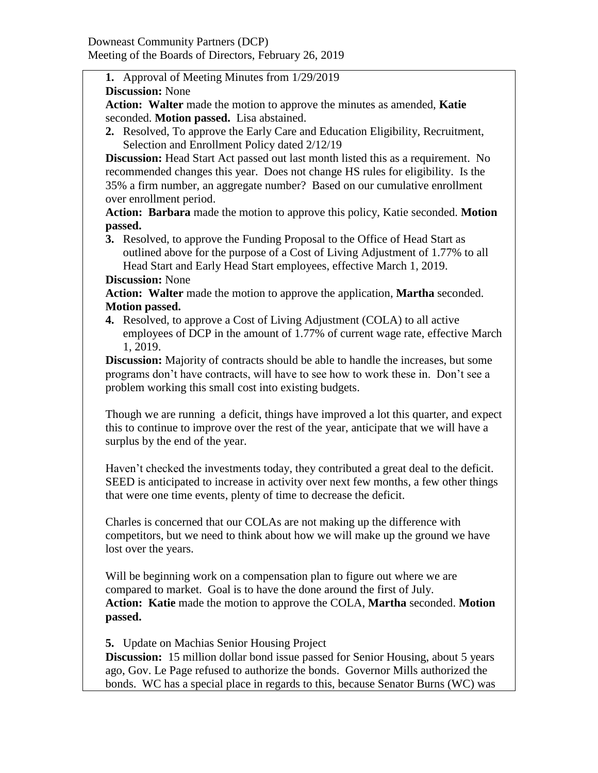**1.** Approval of Meeting Minutes from 1/29/2019

**Discussion:** None

**Action: Walter** made the motion to approve the minutes as amended, **Katie** seconded. **Motion passed.** Lisa abstained.

**2.** Resolved, To approve the Early Care and Education Eligibility, Recruitment, Selection and Enrollment Policy dated 2/12/19

**Discussion:** Head Start Act passed out last month listed this as a requirement. No recommended changes this year. Does not change HS rules for eligibility. Is the 35% a firm number, an aggregate number? Based on our cumulative enrollment over enrollment period.

**Action: Barbara** made the motion to approve this policy, Katie seconded. **Motion passed.**

**3.** Resolved, to approve the Funding Proposal to the Office of Head Start as outlined above for the purpose of a Cost of Living Adjustment of 1.77% to all Head Start and Early Head Start employees, effective March 1, 2019.

## **Discussion:** None

**Action: Walter** made the motion to approve the application, **Martha** seconded. **Motion passed.**

**4.** Resolved, to approve a Cost of Living Adjustment (COLA) to all active employees of DCP in the amount of 1.77% of current wage rate, effective March 1, 2019.

**Discussion:** Majority of contracts should be able to handle the increases, but some programs don't have contracts, will have to see how to work these in. Don't see a problem working this small cost into existing budgets.

Though we are running a deficit, things have improved a lot this quarter, and expect this to continue to improve over the rest of the year, anticipate that we will have a surplus by the end of the year.

Haven't checked the investments today, they contributed a great deal to the deficit. SEED is anticipated to increase in activity over next few months, a few other things that were one time events, plenty of time to decrease the deficit.

Charles is concerned that our COLAs are not making up the difference with competitors, but we need to think about how we will make up the ground we have lost over the years.

Will be beginning work on a compensation plan to figure out where we are compared to market. Goal is to have the done around the first of July. **Action: Katie** made the motion to approve the COLA, **Martha** seconded. **Motion passed.**

**5.** Update on Machias Senior Housing Project

**Discussion:** 15 million dollar bond issue passed for Senior Housing, about 5 years ago, Gov. Le Page refused to authorize the bonds. Governor Mills authorized the bonds. WC has a special place in regards to this, because Senator Burns (WC) was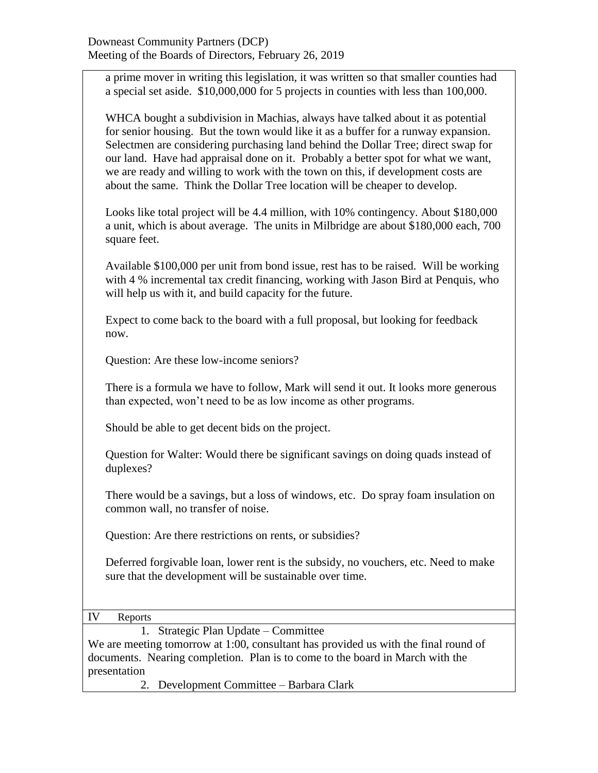a prime mover in writing this legislation, it was written so that smaller counties had a special set aside. \$10,000,000 for 5 projects in counties with less than 100,000.

WHCA bought a subdivision in Machias, always have talked about it as potential for senior housing. But the town would like it as a buffer for a runway expansion. Selectmen are considering purchasing land behind the Dollar Tree; direct swap for our land. Have had appraisal done on it. Probably a better spot for what we want, we are ready and willing to work with the town on this, if development costs are about the same. Think the Dollar Tree location will be cheaper to develop.

Looks like total project will be 4.4 million, with 10% contingency. About \$180,000 a unit, which is about average. The units in Milbridge are about \$180,000 each, 700 square feet.

Available \$100,000 per unit from bond issue, rest has to be raised. Will be working with 4 % incremental tax credit financing, working with Jason Bird at Penquis, who will help us with it, and build capacity for the future.

Expect to come back to the board with a full proposal, but looking for feedback now.

Question: Are these low-income seniors?

There is a formula we have to follow, Mark will send it out. It looks more generous than expected, won't need to be as low income as other programs.

Should be able to get decent bids on the project.

Question for Walter: Would there be significant savings on doing quads instead of duplexes?

There would be a savings, but a loss of windows, etc. Do spray foam insulation on common wall, no transfer of noise.

Question: Are there restrictions on rents, or subsidies?

Deferred forgivable loan, lower rent is the subsidy, no vouchers, etc. Need to make sure that the development will be sustainable over time.

IV Reports

1. Strategic Plan Update – Committee

We are meeting tomorrow at 1:00, consultant has provided us with the final round of documents. Nearing completion. Plan is to come to the board in March with the presentation

2. Development Committee – Barbara Clark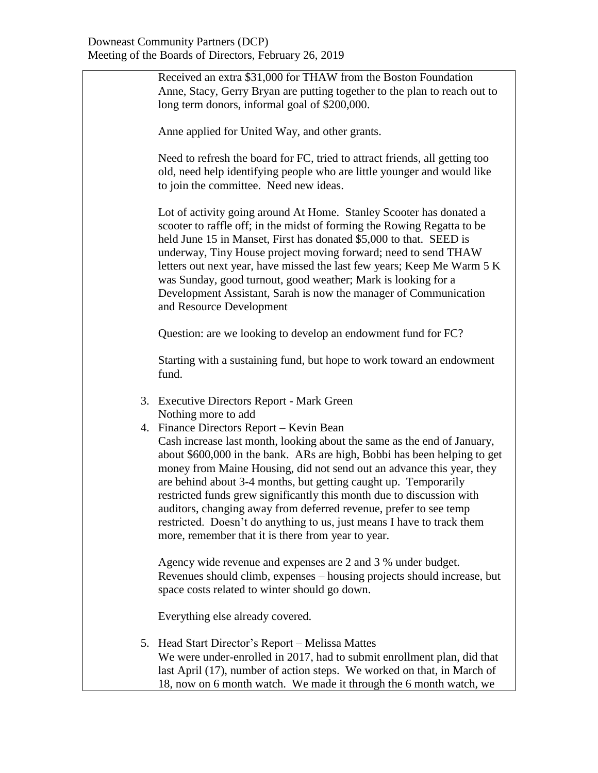| Received an extra \$31,000 for THAW from the Boston Foundation<br>Anne, Stacy, Gerry Bryan are putting together to the plan to reach out to<br>long term donors, informal goal of \$200,000.                                                                                                                                                                                                                                                                                                                                                                                                                              |
|---------------------------------------------------------------------------------------------------------------------------------------------------------------------------------------------------------------------------------------------------------------------------------------------------------------------------------------------------------------------------------------------------------------------------------------------------------------------------------------------------------------------------------------------------------------------------------------------------------------------------|
| Anne applied for United Way, and other grants.                                                                                                                                                                                                                                                                                                                                                                                                                                                                                                                                                                            |
| Need to refresh the board for FC, tried to attract friends, all getting too<br>old, need help identifying people who are little younger and would like<br>to join the committee. Need new ideas.                                                                                                                                                                                                                                                                                                                                                                                                                          |
| Lot of activity going around At Home. Stanley Scooter has donated a<br>scooter to raffle off; in the midst of forming the Rowing Regatta to be<br>held June 15 in Manset, First has donated \$5,000 to that. SEED is<br>underway, Tiny House project moving forward; need to send THAW<br>letters out next year, have missed the last few years; Keep Me Warm 5 K<br>was Sunday, good turnout, good weather; Mark is looking for a<br>Development Assistant, Sarah is now the manager of Communication<br>and Resource Development                                                                                        |
| Question: are we looking to develop an endowment fund for FC?                                                                                                                                                                                                                                                                                                                                                                                                                                                                                                                                                             |
| Starting with a sustaining fund, but hope to work toward an endowment<br>fund.                                                                                                                                                                                                                                                                                                                                                                                                                                                                                                                                            |
| 3. Executive Directors Report - Mark Green<br>Nothing more to add                                                                                                                                                                                                                                                                                                                                                                                                                                                                                                                                                         |
| 4. Finance Directors Report - Kevin Bean<br>Cash increase last month, looking about the same as the end of January,<br>about \$600,000 in the bank. ARs are high, Bobbi has been helping to get<br>money from Maine Housing, did not send out an advance this year, they<br>are behind about 3-4 months, but getting caught up. Temporarily<br>restricted funds grew significantly this month due to discussion with<br>auditors, changing away from deferred revenue, prefer to see temp<br>restricted. Doesn't do anything to us, just means I have to track them<br>more, remember that it is there from year to year. |
| Agency wide revenue and expenses are 2 and 3 % under budget.<br>Revenues should climb, expenses – housing projects should increase, but<br>space costs related to winter should go down.                                                                                                                                                                                                                                                                                                                                                                                                                                  |
| Everything else already covered.                                                                                                                                                                                                                                                                                                                                                                                                                                                                                                                                                                                          |
| 5. Head Start Director's Report – Melissa Mattes<br>We were under-enrolled in 2017, had to submit enrollment plan, did that<br>last April (17), number of action steps. We worked on that, in March of<br>18, now on 6 month watch. We made it through the 6 month watch, we                                                                                                                                                                                                                                                                                                                                              |